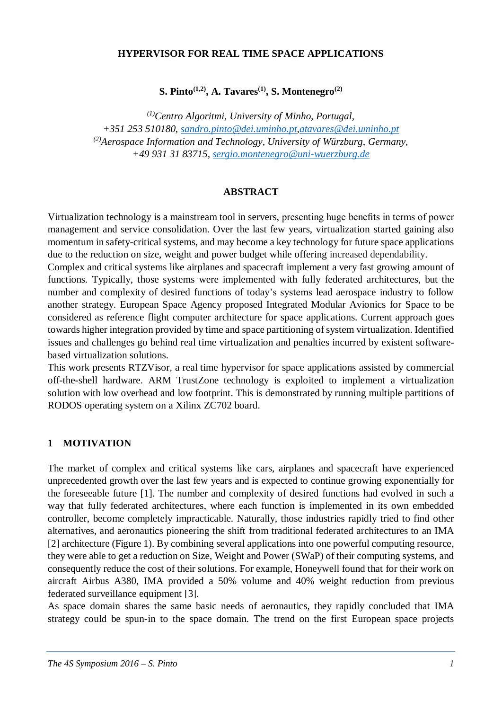#### **HYPERVISOR FOR REAL TIME SPACE APPLICATIONS**

**S. Pinto(1,2), A. Tavares(1), S. Montenegro(2)**

*(1)Centro Algoritmi, University of Minho, Portugal, +351 253 510180, [sandro.pinto@dei.uminho.pt](mailto:sandro.pinto@dei.uminho.pt)[,atavares@dei.uminho.pt](mailto:atavares@dei.uminho.pt) (2)Aerospace Information and Technology, University of Würzburg, Germany, +49 931 31 83715, [sergio.montenegro@uni-wuerzburg.de](mailto:sergio.montenegro@uni-wuerzburg.de)* 

#### **ABSTRACT**

Virtualization technology is a mainstream tool in servers, presenting huge benefits in terms of power management and service consolidation. Over the last few years, virtualization started gaining also momentum in safety-critical systems, and may become a key technology for future space applications due to the reduction on size, weight and power budget while offering increased dependability.

Complex and critical systems like airplanes and spacecraft implement a very fast growing amount of functions. Typically, those systems were implemented with fully federated architectures, but the number and complexity of desired functions of today's systems lead aerospace industry to follow another strategy. European Space Agency proposed Integrated Modular Avionics for Space to be considered as reference flight computer architecture for space applications. Current approach goes towards higher integration provided by time and space partitioning of system virtualization. Identified issues and challenges go behind real time virtualization and penalties incurred by existent softwarebased virtualization solutions.

This work presents RTZVisor, a real time hypervisor for space applications assisted by commercial off-the-shell hardware. ARM TrustZone technology is exploited to implement a virtualization solution with low overhead and low footprint. This is demonstrated by running multiple partitions of RODOS operating system on a Xilinx ZC702 board.

#### **1 MOTIVATION**

The market of complex and critical systems like cars, airplanes and spacecraft have experienced unprecedented growth over the last few years and is expected to continue growing exponentially for the foreseeable future [1]. The number and complexity of desired functions had evolved in such a way that fully federated architectures, where each function is implemented in its own embedded controller, become completely impracticable. Naturally, those industries rapidly tried to find other alternatives, and aeronautics pioneering the shift from traditional federated architectures to an IMA [2] architecture (Figure 1). By combining several applications into one powerful computing resource, they were able to get a reduction on Size, Weight and Power (SWaP) of their computing systems, and consequently reduce the cost of their solutions. For example, Honeywell found that for their work on aircraft Airbus A380, IMA provided a 50% volume and 40% weight reduction from previous federated surveillance equipment [3].

As space domain shares the same basic needs of aeronautics, they rapidly concluded that IMA strategy could be spun-in to the space domain. The trend on the first European space projects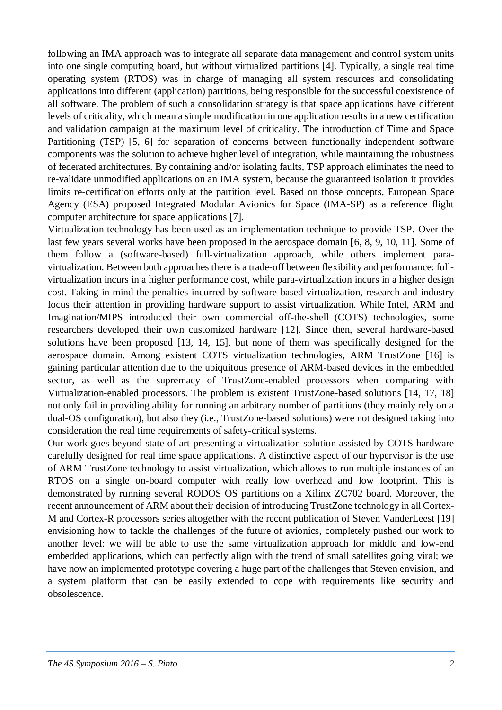following an IMA approach was to integrate all separate data management and control system units into one single computing board, but without virtualized partitions [4]. Typically, a single real time operating system (RTOS) was in charge of managing all system resources and consolidating applications into different (application) partitions, being responsible for the successful coexistence of all software. The problem of such a consolidation strategy is that space applications have different levels of criticality, which mean a simple modification in one application results in a new certification and validation campaign at the maximum level of criticality. The introduction of Time and Space Partitioning (TSP) [5, 6] for separation of concerns between functionally independent software components was the solution to achieve higher level of integration, while maintaining the robustness of federated architectures. By containing and/or isolating faults, TSP approach eliminates the need to re-validate unmodified applications on an IMA system, because the guaranteed isolation it provides limits re-certification efforts only at the partition level. Based on those concepts, European Space Agency (ESA) proposed Integrated Modular Avionics for Space (IMA-SP) as a reference flight computer architecture for space applications [7].

Virtualization technology has been used as an implementation technique to provide TSP. Over the last few years several works have been proposed in the aerospace domain [6, 8, 9, 10, 11]. Some of them follow a (software-based) full-virtualization approach, while others implement paravirtualization. Between both approaches there is a trade-off between flexibility and performance: fullvirtualization incurs in a higher performance cost, while para-virtualization incurs in a higher design cost. Taking in mind the penalties incurred by software-based virtualization, research and industry focus their attention in providing hardware support to assist virtualization. While Intel, ARM and Imagination/MIPS introduced their own commercial off-the-shell (COTS) technologies, some researchers developed their own customized hardware [12]. Since then, several hardware-based solutions have been proposed [13, 14, 15], but none of them was specifically designed for the aerospace domain. Among existent COTS virtualization technologies, ARM TrustZone [16] is gaining particular attention due to the ubiquitous presence of ARM-based devices in the embedded sector, as well as the supremacy of TrustZone-enabled processors when comparing with Virtualization-enabled processors. The problem is existent TrustZone-based solutions [14, 17, 18] not only fail in providing ability for running an arbitrary number of partitions (they mainly rely on a dual-OS configuration), but also they (i.e., TrustZone-based solutions) were not designed taking into consideration the real time requirements of safety-critical systems.

Our work goes beyond state-of-art presenting a virtualization solution assisted by COTS hardware carefully designed for real time space applications. A distinctive aspect of our hypervisor is the use of ARM TrustZone technology to assist virtualization, which allows to run multiple instances of an RTOS on a single on-board computer with really low overhead and low footprint. This is demonstrated by running several RODOS OS partitions on a Xilinx ZC702 board. Moreover, the recent announcement of ARM about their decision of introducing TrustZone technology in all Cortex-M and Cortex-R processors series altogether with the recent publication of Steven VanderLeest [19] envisioning how to tackle the challenges of the future of avionics, completely pushed our work to another level: we will be able to use the same virtualization approach for middle and low-end embedded applications, which can perfectly align with the trend of small satellites going viral; we have now an implemented prototype covering a huge part of the challenges that Steven envision, and a system platform that can be easily extended to cope with requirements like security and obsolescence.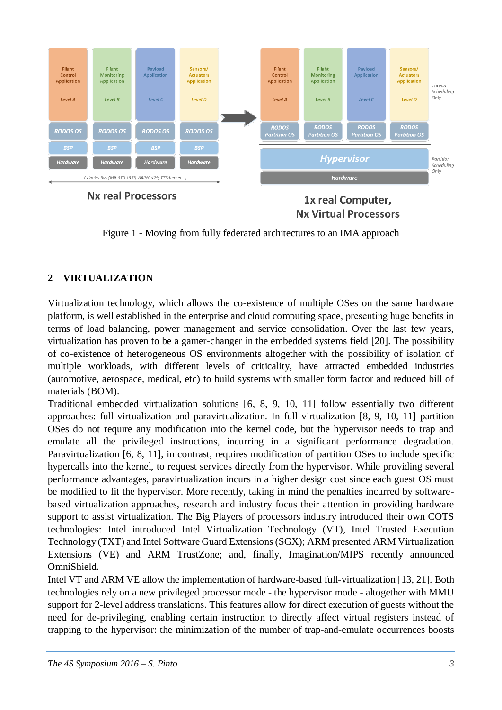

**Nx real Processors** 

1x real Computer, **Nx Virtual Processors** 

Figure 1 - Moving from fully federated architectures to an IMA approach

# **2 VIRTUALIZATION**

Virtualization technology, which allows the co-existence of multiple OSes on the same hardware platform, is well established in the enterprise and cloud computing space, presenting huge benefits in terms of load balancing, power management and service consolidation. Over the last few years, virtualization has proven to be a gamer-changer in the embedded systems field [20]. The possibility of co-existence of heterogeneous OS environments altogether with the possibility of isolation of multiple workloads, with different levels of criticality, have attracted embedded industries (automotive, aerospace, medical, etc) to build systems with smaller form factor and reduced bill of materials (BOM).

Traditional embedded virtualization solutions [6, 8, 9, 10, 11] follow essentially two different approaches: full-virtualization and paravirtualization. In full-virtualization [8, 9, 10, 11] partition OSes do not require any modification into the kernel code, but the hypervisor needs to trap and emulate all the privileged instructions, incurring in a significant performance degradation. Paravirtualization [6, 8, 11], in contrast, requires modification of partition OSes to include specific hypercalls into the kernel, to request services directly from the hypervisor. While providing several performance advantages, paravirtualization incurs in a higher design cost since each guest OS must be modified to fit the hypervisor. More recently, taking in mind the penalties incurred by softwarebased virtualization approaches, research and industry focus their attention in providing hardware support to assist virtualization. The Big Players of processors industry introduced their own COTS technologies: Intel introduced Intel Virtualization Technology (VT), Intel Trusted Execution Technology (TXT) and Intel Software Guard Extensions (SGX); ARM presented ARM Virtualization Extensions (VE) and ARM TrustZone; and, finally, Imagination/MIPS recently announced OmniShield.

Intel VT and ARM VE allow the implementation of hardware-based full-virtualization [13, 21]. Both technologies rely on a new privileged processor mode - the hypervisor mode - altogether with MMU support for 2-level address translations. This features allow for direct execution of guests without the need for de-privileging, enabling certain instruction to directly affect virtual registers instead of trapping to the hypervisor: the minimization of the number of trap-and-emulate occurrences boosts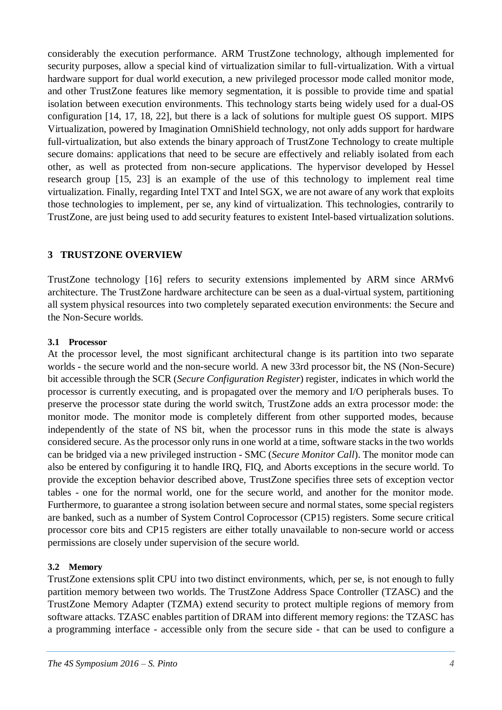considerably the execution performance. ARM TrustZone technology, although implemented for security purposes, allow a special kind of virtualization similar to full-virtualization. With a virtual hardware support for dual world execution, a new privileged processor mode called monitor mode, and other TrustZone features like memory segmentation, it is possible to provide time and spatial isolation between execution environments. This technology starts being widely used for a dual-OS configuration [14, 17, 18, 22], but there is a lack of solutions for multiple guest OS support. MIPS Virtualization, powered by Imagination OmniShield technology, not only adds support for hardware full-virtualization, but also extends the binary approach of TrustZone Technology to create multiple secure domains: applications that need to be secure are effectively and reliably isolated from each other, as well as protected from non-secure applications. The hypervisor developed by Hessel research group [15, 23] is an example of the use of this technology to implement real time virtualization. Finally, regarding Intel TXT and Intel SGX, we are not aware of any work that exploits those technologies to implement, per se, any kind of virtualization. This technologies, contrarily to TrustZone, are just being used to add security features to existent Intel-based virtualization solutions.

### **3 TRUSTZONE OVERVIEW**

TrustZone technology [16] refers to security extensions implemented by ARM since ARMv6 architecture. The TrustZone hardware architecture can be seen as a dual-virtual system, partitioning all system physical resources into two completely separated execution environments: the Secure and the Non-Secure worlds.

#### **3.1 Processor**

At the processor level, the most significant architectural change is its partition into two separate worlds - the secure world and the non-secure world. A new 33rd processor bit, the NS (Non-Secure) bit accessible through the SCR (*Secure Configuration Register*) register, indicates in which world the processor is currently executing, and is propagated over the memory and I/O peripherals buses. To preserve the processor state during the world switch, TrustZone adds an extra processor mode: the monitor mode. The monitor mode is completely different from other supported modes, because independently of the state of NS bit, when the processor runs in this mode the state is always considered secure. As the processor only runs in one world at a time, software stacks in the two worlds can be bridged via a new privileged instruction - SMC (*Secure Monitor Call*). The monitor mode can also be entered by configuring it to handle IRQ, FIQ, and Aborts exceptions in the secure world. To provide the exception behavior described above, TrustZone specifies three sets of exception vector tables - one for the normal world, one for the secure world, and another for the monitor mode. Furthermore, to guarantee a strong isolation between secure and normal states, some special registers are banked, such as a number of System Control Coprocessor (CP15) registers. Some secure critical processor core bits and CP15 registers are either totally unavailable to non-secure world or access permissions are closely under supervision of the secure world.

#### **3.2 Memory**

TrustZone extensions split CPU into two distinct environments, which, per se, is not enough to fully partition memory between two worlds. The TrustZone Address Space Controller (TZASC) and the TrustZone Memory Adapter (TZMA) extend security to protect multiple regions of memory from software attacks. TZASC enables partition of DRAM into different memory regions: the TZASC has a programming interface - accessible only from the secure side - that can be used to configure a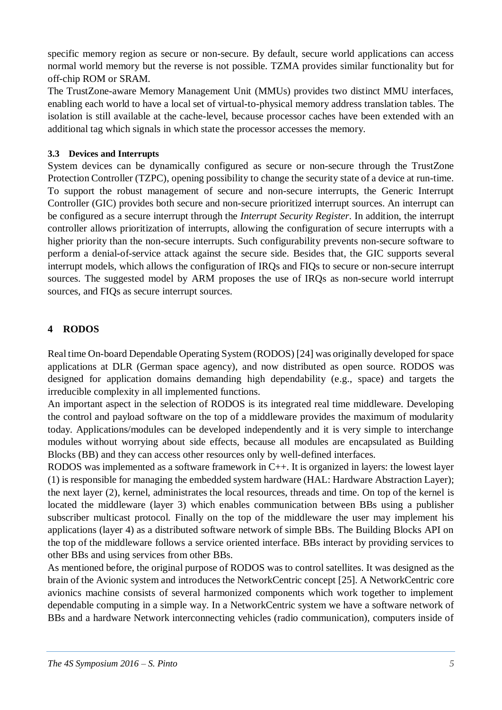specific memory region as secure or non-secure. By default, secure world applications can access normal world memory but the reverse is not possible. TZMA provides similar functionality but for off-chip ROM or SRAM.

The TrustZone-aware Memory Management Unit (MMUs) provides two distinct MMU interfaces, enabling each world to have a local set of virtual-to-physical memory address translation tables. The isolation is still available at the cache-level, because processor caches have been extended with an additional tag which signals in which state the processor accesses the memory.

#### **3.3 Devices and Interrupts**

System devices can be dynamically configured as secure or non-secure through the TrustZone Protection Controller (TZPC), opening possibility to change the security state of a device at run-time. To support the robust management of secure and non-secure interrupts, the Generic Interrupt Controller (GIC) provides both secure and non-secure prioritized interrupt sources. An interrupt can be configured as a secure interrupt through the *Interrupt Security Register*. In addition, the interrupt controller allows prioritization of interrupts, allowing the configuration of secure interrupts with a higher priority than the non-secure interrupts. Such configurability prevents non-secure software to perform a denial-of-service attack against the secure side. Besides that, the GIC supports several interrupt models, which allows the configuration of IRQs and FIQs to secure or non-secure interrupt sources. The suggested model by ARM proposes the use of IRQs as non-secure world interrupt sources, and FIQs as secure interrupt sources.

# **4 RODOS**

Real time On-board Dependable Operating System (RODOS) [24] was originally developed for space applications at DLR (German space agency), and now distributed as open source. RODOS was designed for application domains demanding high dependability (e.g., space) and targets the irreducible complexity in all implemented functions.

An important aspect in the selection of RODOS is its integrated real time middleware. Developing the control and payload software on the top of a middleware provides the maximum of modularity today. Applications/modules can be developed independently and it is very simple to interchange modules without worrying about side effects, because all modules are encapsulated as Building Blocks (BB) and they can access other resources only by well-defined interfaces.

RODOS was implemented as a software framework in C++. It is organized in layers: the lowest layer (1) is responsible for managing the embedded system hardware (HAL: Hardware Abstraction Layer); the next layer (2), kernel, administrates the local resources, threads and time. On top of the kernel is located the middleware (layer 3) which enables communication between BBs using a publisher subscriber multicast protocol. Finally on the top of the middleware the user may implement his applications (layer 4) as a distributed software network of simple BBs. The Building Blocks API on the top of the middleware follows a service oriented interface. BBs interact by providing services to other BBs and using services from other BBs.

As mentioned before, the original purpose of RODOS was to control satellites. It was designed as the brain of the Avionic system and introduces the NetworkCentric concept [25]. A NetworkCentric core avionics machine consists of several harmonized components which work together to implement dependable computing in a simple way. In a NetworkCentric system we have a software network of BBs and a hardware Network interconnecting vehicles (radio communication), computers inside of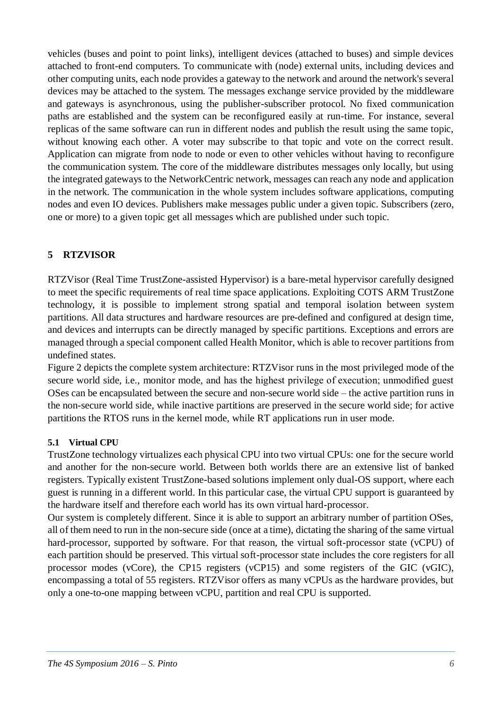vehicles (buses and point to point links), intelligent devices (attached to buses) and simple devices attached to front-end computers. To communicate with (node) external units, including devices and other computing units, each node provides a gateway to the network and around the network's several devices may be attached to the system. The messages exchange service provided by the middleware and gateways is asynchronous, using the publisher-subscriber protocol. No fixed communication paths are established and the system can be reconfigured easily at run-time. For instance, several replicas of the same software can run in different nodes and publish the result using the same topic, without knowing each other. A voter may subscribe to that topic and vote on the correct result. Application can migrate from node to node or even to other vehicles without having to reconfigure the communication system. The core of the middleware distributes messages only locally, but using the integrated gateways to the NetworkCentric network, messages can reach any node and application in the network. The communication in the whole system includes software applications, computing nodes and even IO devices. Publishers make messages public under a given topic. Subscribers (zero, one or more) to a given topic get all messages which are published under such topic.

# **5 RTZVISOR**

RTZVisor (Real Time TrustZone-assisted Hypervisor) is a bare-metal hypervisor carefully designed to meet the specific requirements of real time space applications. Exploiting COTS ARM TrustZone technology, it is possible to implement strong spatial and temporal isolation between system partitions. All data structures and hardware resources are pre-defined and configured at design time, and devices and interrupts can be directly managed by specific partitions. Exceptions and errors are managed through a special component called Health Monitor, which is able to recover partitions from undefined states.

Figure 2 depicts the complete system architecture: RTZVisor runs in the most privileged mode of the secure world side, i.e., monitor mode, and has the highest privilege of execution; unmodified guest OSes can be encapsulated between the secure and non-secure world side – the active partition runs in the non-secure world side, while inactive partitions are preserved in the secure world side; for active partitions the RTOS runs in the kernel mode, while RT applications run in user mode.

# **5.1 Virtual CPU**

TrustZone technology virtualizes each physical CPU into two virtual CPUs: one for the secure world and another for the non-secure world. Between both worlds there are an extensive list of banked registers. Typically existent TrustZone-based solutions implement only dual-OS support, where each guest is running in a different world. In this particular case, the virtual CPU support is guaranteed by the hardware itself and therefore each world has its own virtual hard-processor.

Our system is completely different. Since it is able to support an arbitrary number of partition OSes, all of them need to run in the non-secure side (once at a time), dictating the sharing of the same virtual hard-processor, supported by software. For that reason, the virtual soft-processor state (vCPU) of each partition should be preserved. This virtual soft-processor state includes the core registers for all processor modes (vCore), the CP15 registers (vCP15) and some registers of the GIC (vGIC), encompassing a total of 55 registers. RTZVisor offers as many vCPUs as the hardware provides, but only a one-to-one mapping between vCPU, partition and real CPU is supported.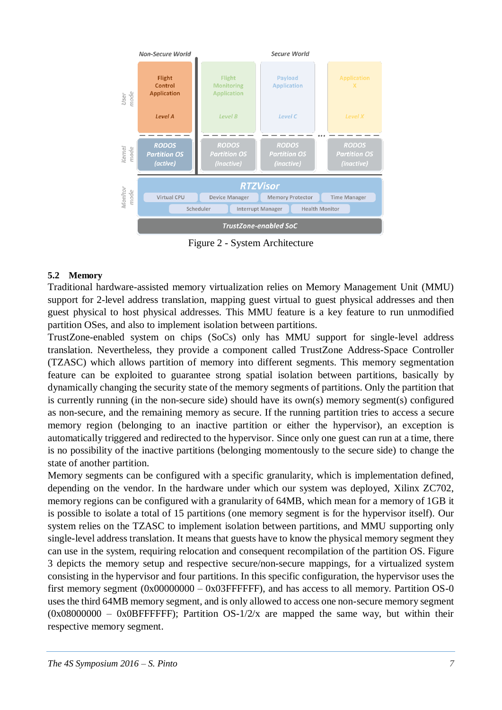

Figure 2 - System Architecture

#### **5.2 Memory**

Traditional hardware-assisted memory virtualization relies on Memory Management Unit (MMU) support for 2-level address translation, mapping guest virtual to guest physical addresses and then guest physical to host physical addresses. This MMU feature is a key feature to run unmodified partition OSes, and also to implement isolation between partitions.

TrustZone-enabled system on chips (SoCs) only has MMU support for single-level address translation. Nevertheless, they provide a component called TrustZone Address-Space Controller (TZASC) which allows partition of memory into different segments. This memory segmentation feature can be exploited to guarantee strong spatial isolation between partitions, basically by dynamically changing the security state of the memory segments of partitions. Only the partition that is currently running (in the non-secure side) should have its own(s) memory segment(s) configured as non-secure, and the remaining memory as secure. If the running partition tries to access a secure memory region (belonging to an inactive partition or either the hypervisor), an exception is automatically triggered and redirected to the hypervisor. Since only one guest can run at a time, there is no possibility of the inactive partitions (belonging momentously to the secure side) to change the state of another partition.

Memory segments can be configured with a specific granularity, which is implementation defined, depending on the vendor. In the hardware under which our system was deployed, Xilinx ZC702, memory regions can be configured with a granularity of 64MB, which mean for a memory of 1GB it is possible to isolate a total of 15 partitions (one memory segment is for the hypervisor itself). Our system relies on the TZASC to implement isolation between partitions, and MMU supporting only single-level address translation. It means that guests have to know the physical memory segment they can use in the system, requiring relocation and consequent recompilation of the partition OS. Figure 3 depicts the memory setup and respective secure/non-secure mappings, for a virtualized system consisting in the hypervisor and four partitions. In this specific configuration, the hypervisor uses the first memory segment  $(0x0000000 - 0x03$ FFFFFFF), and has access to all memory. Partition OS-0 uses the third 64MB memory segment, and is only allowed to access one non-secure memory segment  $(0x08000000 - 0x0BFFFFF)$ ; Partition OS-1/2/x are mapped the same way, but within their respective memory segment.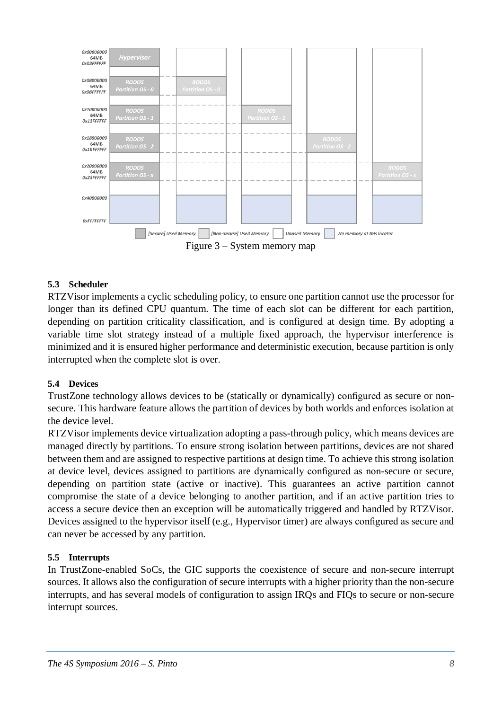

### **5.3 Scheduler**

RTZVisor implements a cyclic scheduling policy, to ensure one partition cannot use the processor for longer than its defined CPU quantum. The time of each slot can be different for each partition, depending on partition criticality classification, and is configured at design time. By adopting a variable time slot strategy instead of a multiple fixed approach, the hypervisor interference is minimized and it is ensured higher performance and deterministic execution, because partition is only interrupted when the complete slot is over.

#### **5.4 Devices**

TrustZone technology allows devices to be (statically or dynamically) configured as secure or nonsecure. This hardware feature allows the partition of devices by both worlds and enforces isolation at the device level.

RTZVisor implements device virtualization adopting a pass-through policy, which means devices are managed directly by partitions. To ensure strong isolation between partitions, devices are not shared between them and are assigned to respective partitions at design time. To achieve this strong isolation at device level, devices assigned to partitions are dynamically configured as non-secure or secure, depending on partition state (active or inactive). This guarantees an active partition cannot compromise the state of a device belonging to another partition, and if an active partition tries to access a secure device then an exception will be automatically triggered and handled by RTZVisor. Devices assigned to the hypervisor itself (e.g., Hypervisor timer) are always configured as secure and can never be accessed by any partition.

#### **5.5 Interrupts**

In TrustZone-enabled SoCs, the GIC supports the coexistence of secure and non-secure interrupt sources. It allows also the configuration of secure interrupts with a higher priority than the non-secure interrupts, and has several models of configuration to assign IRQs and FIQs to secure or non-secure interrupt sources.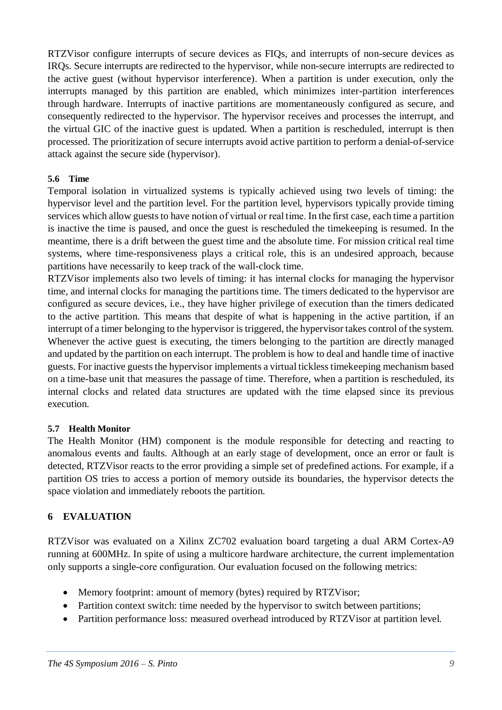RTZVisor configure interrupts of secure devices as FIQs, and interrupts of non-secure devices as IRQs. Secure interrupts are redirected to the hypervisor, while non-secure interrupts are redirected to the active guest (without hypervisor interference). When a partition is under execution, only the interrupts managed by this partition are enabled, which minimizes inter-partition interferences through hardware. Interrupts of inactive partitions are momentaneously configured as secure, and consequently redirected to the hypervisor. The hypervisor receives and processes the interrupt, and the virtual GIC of the inactive guest is updated. When a partition is rescheduled, interrupt is then processed. The prioritization of secure interrupts avoid active partition to perform a denial-of-service attack against the secure side (hypervisor).

### **5.6 Time**

Temporal isolation in virtualized systems is typically achieved using two levels of timing: the hypervisor level and the partition level. For the partition level, hypervisors typically provide timing services which allow guests to have notion of virtual or real time. In the first case, each time a partition is inactive the time is paused, and once the guest is rescheduled the timekeeping is resumed. In the meantime, there is a drift between the guest time and the absolute time. For mission critical real time systems, where time-responsiveness plays a critical role, this is an undesired approach, because partitions have necessarily to keep track of the wall-clock time.

RTZVisor implements also two levels of timing: it has internal clocks for managing the hypervisor time, and internal clocks for managing the partitions time. The timers dedicated to the hypervisor are configured as secure devices, i.e., they have higher privilege of execution than the timers dedicated to the active partition. This means that despite of what is happening in the active partition, if an interrupt of a timer belonging to the hypervisor is triggered, the hypervisor takes control of the system. Whenever the active guest is executing, the timers belonging to the partition are directly managed and updated by the partition on each interrupt. The problem is how to deal and handle time of inactive guests. For inactive guests the hypervisor implements a virtual tickless timekeeping mechanism based on a time-base unit that measures the passage of time. Therefore, when a partition is rescheduled, its internal clocks and related data structures are updated with the time elapsed since its previous execution.

#### **5.7 Health Monitor**

The Health Monitor (HM) component is the module responsible for detecting and reacting to anomalous events and faults. Although at an early stage of development, once an error or fault is detected, RTZVisor reacts to the error providing a simple set of predefined actions. For example, if a partition OS tries to access a portion of memory outside its boundaries, the hypervisor detects the space violation and immediately reboots the partition.

# **6 EVALUATION**

RTZVisor was evaluated on a Xilinx ZC702 evaluation board targeting a dual ARM Cortex-A9 running at 600MHz. In spite of using a multicore hardware architecture, the current implementation only supports a single-core configuration. Our evaluation focused on the following metrics:

- Memory footprint: amount of memory (bytes) required by RTZVisor;
- Partition context switch: time needed by the hypervisor to switch between partitions;
- Partition performance loss: measured overhead introduced by RTZVisor at partition level.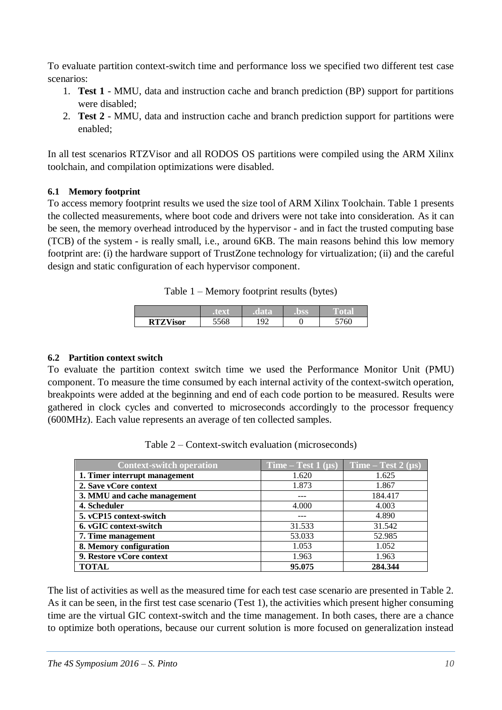To evaluate partition context-switch time and performance loss we specified two different test case scenarios:

- 1. **Test 1** MMU, data and instruction cache and branch prediction (BP) support for partitions were disabled;
- 2. **Test 2** MMU, data and instruction cache and branch prediction support for partitions were enabled;

In all test scenarios RTZVisor and all RODOS OS partitions were compiled using the ARM Xilinx toolchain, and compilation optimizations were disabled.

### **6.1 Memory footprint**

To access memory footprint results we used the size tool of ARM Xilinx Toolchain. Table 1 presents the collected measurements, where boot code and drivers were not take into consideration. As it can be seen, the memory overhead introduced by the hypervisor - and in fact the trusted computing base (TCB) of the system - is really small, i.e., around 6KB. The main reasons behind this low memory footprint are: (i) the hardware support of TrustZone technology for virtualization; (ii) and the careful design and static configuration of each hypervisor component.

Table 1 – Memory footprint results (bytes)

|                 |      |          | he he s | R |
|-----------------|------|----------|---------|---|
| <b>RTZVisor</b> | 5568 | $\Omega$ |         |   |

### **6.2 Partition context switch**

To evaluate the partition context switch time we used the Performance Monitor Unit (PMU) component. To measure the time consumed by each internal activity of the context-switch operation, breakpoints were added at the beginning and end of each code portion to be measured. Results were gathered in clock cycles and converted to microseconds accordingly to the processor frequency (600MHz). Each value represents an average of ten collected samples.

| <b>Context-switch operation</b> | Time – Test $1$ ( $\mu$ s) | Time – Test 2 $(\mu s)$ |
|---------------------------------|----------------------------|-------------------------|
| 1. Timer interrupt management   | 1.620                      | 1.625                   |
| 2. Save vCore context           | 1.873                      | 1.867                   |
| 3. MMU and cache management     | ---                        | 184.417                 |
| 4. Scheduler                    | 4.000                      | 4.003                   |
| 5. vCP15 context-switch         | ---                        | 4.890                   |
| 6. vGIC context-switch          | 31.533                     | 31.542                  |
| 7. Time management              | 53.033                     | 52.985                  |
| 8. Memory configuration         | 1.053                      | 1.052                   |
| 9. Restore vCore context        | 1.963                      | 1.963                   |
| <b>TOTAL</b>                    | 95.075                     | 284.344                 |

Table 2 – Context-switch evaluation (microseconds)

The list of activities as well as the measured time for each test case scenario are presented in Table 2. As it can be seen, in the first test case scenario (Test 1), the activities which present higher consuming time are the virtual GIC context-switch and the time management. In both cases, there are a chance to optimize both operations, because our current solution is more focused on generalization instead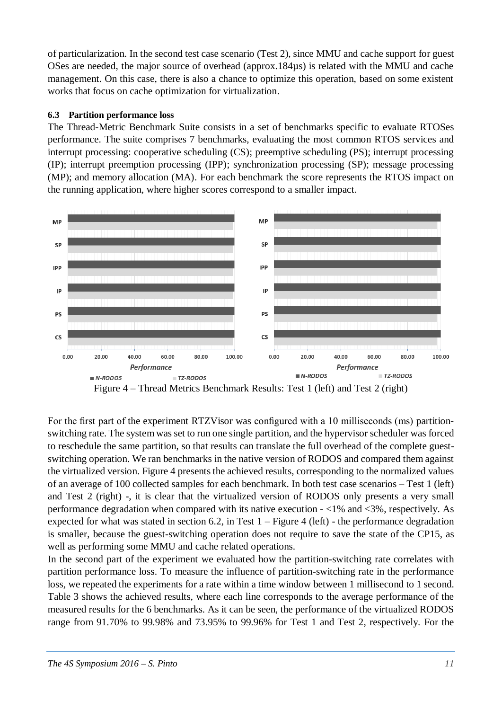of particularization. In the second test case scenario (Test 2), since MMU and cache support for guest OSes are needed, the major source of overhead (approx.184µs) is related with the MMU and cache management. On this case, there is also a chance to optimize this operation, based on some existent works that focus on cache optimization for virtualization.

#### **6.3 Partition performance loss**

The Thread-Metric Benchmark Suite consists in a set of benchmarks specific to evaluate RTOSes performance. The suite comprises 7 benchmarks, evaluating the most common RTOS services and interrupt processing: cooperative scheduling (CS); preemptive scheduling (PS); interrupt processing (IP); interrupt preemption processing (IPP); synchronization processing (SP); message processing (MP); and memory allocation (MA). For each benchmark the score represents the RTOS impact on the running application, where higher scores correspond to a smaller impact.



Figure 4 – Thread Metrics Benchmark Results: Test 1 (left) and Test 2 (right)

For the first part of the experiment RTZVisor was configured with a 10 milliseconds (ms) partitionswitching rate. The system was set to run one single partition, and the hypervisor scheduler was forced to reschedule the same partition, so that results can translate the full overhead of the complete guestswitching operation. We ran benchmarks in the native version of RODOS and compared them against the virtualized version. Figure 4 presents the achieved results, corresponding to the normalized values of an average of 100 collected samples for each benchmark. In both test case scenarios – Test 1 (left) and Test 2 (right) -, it is clear that the virtualized version of RODOS only presents a very small performance degradation when compared with its native execution - <1% and <3%, respectively. As expected for what was stated in section 6.2, in Test  $1 -$  Figure 4 (left) - the performance degradation is smaller, because the guest-switching operation does not require to save the state of the CP15, as well as performing some MMU and cache related operations.

In the second part of the experiment we evaluated how the partition-switching rate correlates with partition performance loss. To measure the influence of partition-switching rate in the performance loss, we repeated the experiments for a rate within a time window between 1 millisecond to 1 second. Table 3 shows the achieved results, where each line corresponds to the average performance of the measured results for the 6 benchmarks. As it can be seen, the performance of the virtualized RODOS range from 91.70% to 99.98% and 73.95% to 99.96% for Test 1 and Test 2, respectively. For the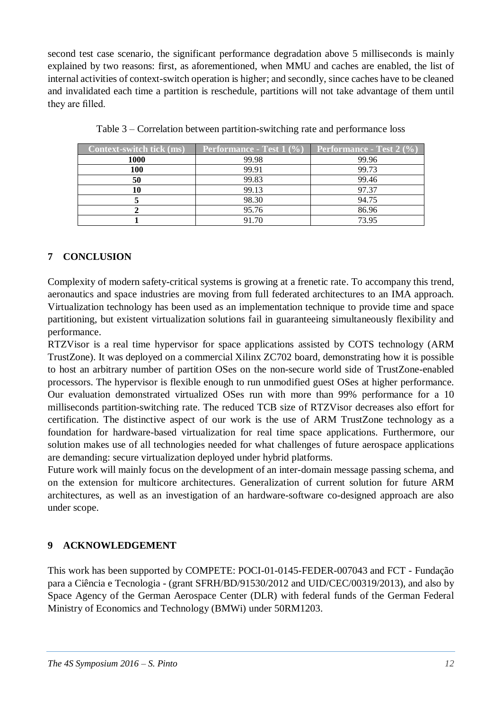second test case scenario, the significant performance degradation above 5 milliseconds is mainly explained by two reasons: first, as aforementioned, when MMU and caches are enabled, the list of internal activities of context-switch operation is higher; and secondly, since caches have to be cleaned and invalidated each time a partition is reschedule, partitions will not take advantage of them until they are filled.

| <b>Context-switch tick (ms)</b> | <b>Performance - Test 1</b> $(\%)$ | <b>Performance - Test 2</b> $(\%$ |
|---------------------------------|------------------------------------|-----------------------------------|
| <b>1000</b>                     | 99.98                              | 99.96                             |
| 100                             | 99.91                              | 99.73                             |
| 50                              | 99.83                              | 99.46                             |
| 10                              | 99.13                              | 97.37                             |
|                                 | 98.30                              | 94.75                             |
|                                 | 95.76                              | 86.96                             |
|                                 | 91.70                              | 73.95                             |

Table 3 – Correlation between partition-switching rate and performance loss

# **7 CONCLUSION**

Complexity of modern safety-critical systems is growing at a frenetic rate. To accompany this trend, aeronautics and space industries are moving from full federated architectures to an IMA approach. Virtualization technology has been used as an implementation technique to provide time and space partitioning, but existent virtualization solutions fail in guaranteeing simultaneously flexibility and performance.

RTZVisor is a real time hypervisor for space applications assisted by COTS technology (ARM TrustZone). It was deployed on a commercial Xilinx ZC702 board, demonstrating how it is possible to host an arbitrary number of partition OSes on the non-secure world side of TrustZone-enabled processors. The hypervisor is flexible enough to run unmodified guest OSes at higher performance. Our evaluation demonstrated virtualized OSes run with more than 99% performance for a 10 milliseconds partition-switching rate. The reduced TCB size of RTZVisor decreases also effort for certification. The distinctive aspect of our work is the use of ARM TrustZone technology as a foundation for hardware-based virtualization for real time space applications. Furthermore, our solution makes use of all technologies needed for what challenges of future aerospace applications are demanding: secure virtualization deployed under hybrid platforms.

Future work will mainly focus on the development of an inter-domain message passing schema, and on the extension for multicore architectures. Generalization of current solution for future ARM architectures, as well as an investigation of an hardware-software co-designed approach are also under scope.

# **9 ACKNOWLEDGEMENT**

This work has been supported by COMPETE: POCI-01-0145-FEDER-007043 and FCT - Fundação para a Ciência e Tecnologia - (grant SFRH/BD/91530/2012 and UID/CEC/00319/2013), and also by Space Agency of the German Aerospace Center (DLR) with federal funds of the German Federal Ministry of Economics and Technology (BMWi) under 50RM1203.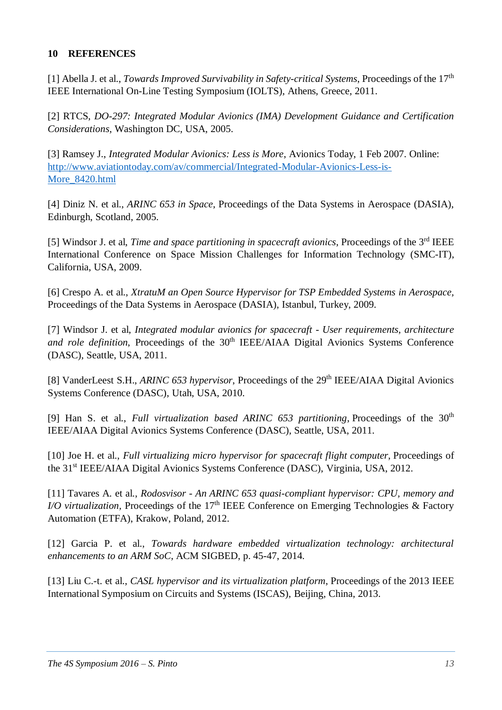### **10 REFERENCES**

[1] Abella J. et al., *Towards Improved Survivability in Safety-critical Systems*, Proceedings of the 17th IEEE International On-Line Testing Symposium (IOLTS), Athens, Greece, 2011.

[2] RTCS, *DO-297: Integrated Modular Avionics (IMA) Development Guidance and Certification Considerations*, Washington DC, USA, 2005.

[3] Ramsey J., *Integrated Modular Avionics: Less is More*, Avionics Today, 1 Feb 2007. Online: [http://www.aviationtoday.com/av/commercial/Integrated-Modular-Avionics-Less-is-](http://www.aviationtoday.com/av/commercial/Integrated-Modular-Avionics-Less-is-More_8420.html)More 8420.html

[4] Diniz N. et al., *ARINC 653 in Space*, Proceedings of the Data Systems in Aerospace (DASIA), Edinburgh, Scotland, 2005.

[5] Windsor J. et al, *Time and space partitioning in spacecraft avionics*, Proceedings of the 3<sup>rd</sup> IEEE International Conference on Space Mission Challenges for Information Technology (SMC-IT), California, USA, 2009.

[6] Crespo A. et al., *XtratuM an Open Source Hypervisor for TSP Embedded Systems in Aerospace,*  Proceedings of the Data Systems in Aerospace (DASIA), Istanbul, Turkey, 2009.

[7] Windsor J. et al, *Integrated modular avionics for spacecraft - User requirements, architecture*  and role definition, Proceedings of the 30<sup>th</sup> IEEE/AIAA Digital Avionics Systems Conference (DASC), Seattle, USA, 2011.

[8] VanderLeest S.H., *ARINC 653 hypervisor*, Proceedings of the 29<sup>th</sup> IEEE/AIAA Digital Avionics Systems Conference (DASC), Utah, USA, 2010.

[9] Han S. et al., *Full virtualization based ARINC 653 partitioning*, Proceedings of the 30<sup>th</sup> IEEE/AIAA Digital Avionics Systems Conference (DASC), Seattle, USA, 2011.

[10] Joe H. et al., *Full virtualizing micro hypervisor for spacecraft flight computer*, Proceedings of the 31<sup>st</sup> IEEE/AIAA Digital Avionics Systems Conference (DASC), Virginia, USA, 2012.

[11] Tavares A. et al., *Rodosvisor - An ARINC 653 quasi-compliant hypervisor: CPU, memory and I/O virtualization,* Proceedings of the 17<sup>th</sup> IEEE Conference on Emerging Technologies & Factory Automation (ETFA), Krakow, Poland, 2012.

[12] Garcia P. et al., *Towards hardware embedded virtualization technology: architectural enhancements to an ARM SoC*, ACM SIGBED, p. 45-47, 2014.

[13] Liu C.-t. et al., *CASL hypervisor and its virtualization platform*, Proceedings of the 2013 IEEE International Symposium on Circuits and Systems (ISCAS), Beijing, China, 2013.